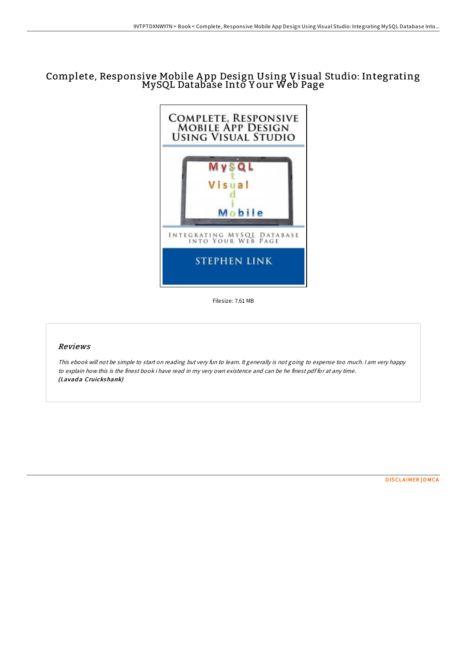## Complete, Responsive Mobile <sup>A</sup> pp Design Using Visual Studio: Integrating MySQL Database Into <sup>Y</sup> our Web Page



Filesize: 7.61 MB

## Reviews

This ebook will not be simple to start on reading but very fun to learn. It generally is not going to expense too much. <sup>I</sup> am very happy to explain how this is the finest book i have read in my very own existence and can be he finest pdf for at any time. (Lavada Cruickshank)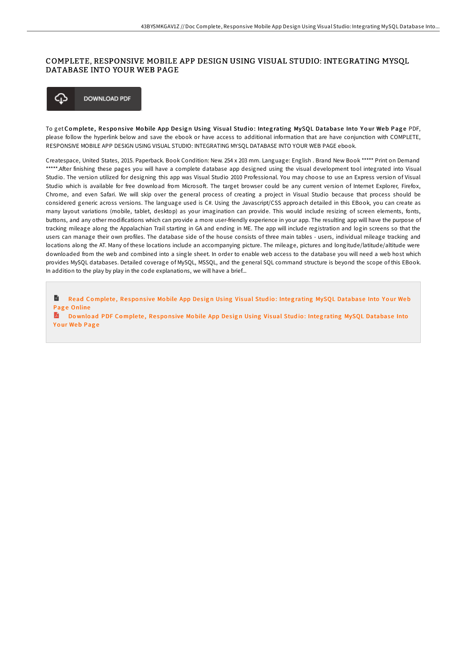## COMPLETE, RESPONSIVE MOBILE APP DESIGN USING VISUAL STUDIO: INTEGRATING MYSQL DATABASE INTO YOUR WEB PAGE



To get Complete, Responsive Mobile App Design Using Visual Studio: Integrating MySQL Database Into Your Web Page PDF, please follow the hyperlink below and save the ebook or have access to additional information that are have conjunction with COMPLETE, RESPONSIVE MOBILE APP DESIGN USING VISUAL STUDIO: INTEGRATING MYSQL DATABASE INTO YOUR WEB PAGE ebook.

Createspace, United States, 2015. Paperback. Book Condition: New. 254 x 203 mm. Language: English . Brand New Book \*\*\*\*\* Print on Demand \*\*\*\*\*.After finishing these pages you will have a complete database app designed using the visual development tool integrated into Visual Studio. The version utilized for designing this app was Visual Studio 2010 Professional. You may choose to use an Express version of Visual Studio which is available for free download from Microsoft. The target browser could be any current version of Internet Explorer, Firefox, Chrome, and even Safari. We will skip over the general process of creating a project in Visual Studio because that process should be considered generic across versions. The language used is C#. Using the Javascript/CSS approach detailed in this EBook, you can create as many layout variations (mobile, tablet, desktop) as your imagination can provide. This would include resizing of screen elements, fonts, buttons, and any other modifications which can provide a more user-friendly experience in your app. The resulting app will have the purpose of tracking mileage along the Appalachian Trail starting in GA and ending in ME. The app will include registration and login screens so that the users can manage their own profiles. The database side of the house consists of three main tables - users, individual mileage tracking and locations along the AT. Many of these locations include an accompanying picture. The mileage, pictures and longitude/latitude/altitude were downloaded from the web and combined into a single sheet. In order to enable web access to the database you will need a web host which provides MySQL databases. Detailed coverage of MySQL, MSSQL, and the general SQL command structure is beyond the scope of this EBook. In addition to the play by play in the code explanations, we will have a brief...

B Read Complete, Responsive Mobile App Design Using Visual Studio: Integrating MySQL [Database](http://almighty24.tech/complete-responsive-mobile-app-design-using-visu.html) Into Your Web Page Online

**Download PDF Complete, Responsive Mobile App Design Using Visual Studio: Integrating MySQL [Database](http://almighty24.tech/complete-responsive-mobile-app-design-using-visu.html) Into** Your Web Page